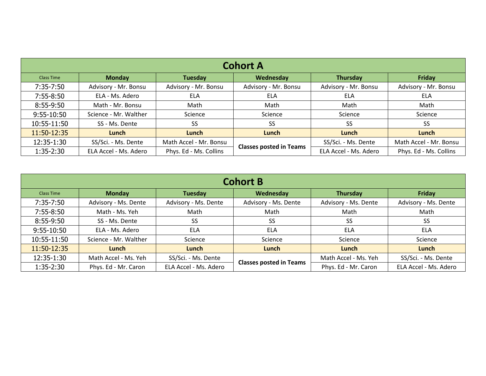| <b>Cohort A</b>   |                       |                        |                                |                       |                        |
|-------------------|-----------------------|------------------------|--------------------------------|-----------------------|------------------------|
| <b>Class Time</b> | <b>Monday</b>         | Tuesday                | Wednesday                      | <b>Thursday</b>       | Friday                 |
| 7:35-7:50         | Advisory - Mr. Bonsu  | Advisory - Mr. Bonsu   | Advisory - Mr. Bonsu           | Advisory - Mr. Bonsu  | Advisory - Mr. Bonsu   |
| 7:55-8:50         | ELA - Ms. Adero       | <b>ELA</b>             | ELA                            | ELA                   | ELA                    |
| 8:55-9:50         | Math - Mr. Bonsu      | Math                   | Math                           | Math                  | Math                   |
| 9:55-10:50        | Science - Mr. Walther | Science                | Science                        | Science               | Science                |
| 10:55-11:50       | SS - Ms. Dente        | <b>SS</b>              | <b>SS</b>                      | SS                    | <b>SS</b>              |
| 11:50-12:35       | Lunch                 | Lunch                  | Lunch                          | Lunch                 | Lunch                  |
| 12:35-1:30        | SS/Sci. - Ms. Dente   | Math Accel - Mr. Bonsu | <b>Classes posted in Teams</b> | SS/Sci. - Ms. Dente   | Math Accel - Mr. Bonsu |
| 1:35-2:30         | ELA Accel - Ms. Adero | Phys. Ed - Ms. Collins |                                | ELA Accel - Ms. Adero | Phys. Ed - Ms. Collins |

| <b>Cohort B</b>   |                       |                       |                                |                      |                       |  |
|-------------------|-----------------------|-----------------------|--------------------------------|----------------------|-----------------------|--|
| <b>Class Time</b> | <b>Monday</b>         | Tuesday               | Wednesday                      | Thursday             | Friday                |  |
| 7:35-7:50         | Advisory - Ms. Dente  | Advisory - Ms. Dente  | Advisory - Ms. Dente           | Advisory - Ms. Dente | Advisory - Ms. Dente  |  |
| 7:55-8:50         | Math - Ms. Yeh        | Math                  | Math                           | Math                 | Math                  |  |
| 8:55-9:50         | SS - Ms. Dente        | <b>SS</b>             | SS                             | <b>SS</b>            | SS                    |  |
| 9:55-10:50        | ELA - Ms. Adero       | <b>ELA</b>            | ELA                            | <b>ELA</b>           | <b>ELA</b>            |  |
| 10:55-11:50       | Science - Mr. Walther | Science               | Science                        | Science              | Science               |  |
| 11:50-12:35       | Lunch                 | Lunch                 | Lunch                          | Lunch                | Lunch                 |  |
| 12:35-1:30        | Math Accel - Ms. Yeh  | SS/Sci. - Ms. Dente   | <b>Classes posted in Teams</b> | Math Accel - Ms. Yeh | SS/Sci. - Ms. Dente   |  |
| $1:35-2:30$       | Phys. Ed - Mr. Caron  | ELA Accel - Ms. Adero |                                | Phys. Ed - Mr. Caron | ELA Accel - Ms. Adero |  |